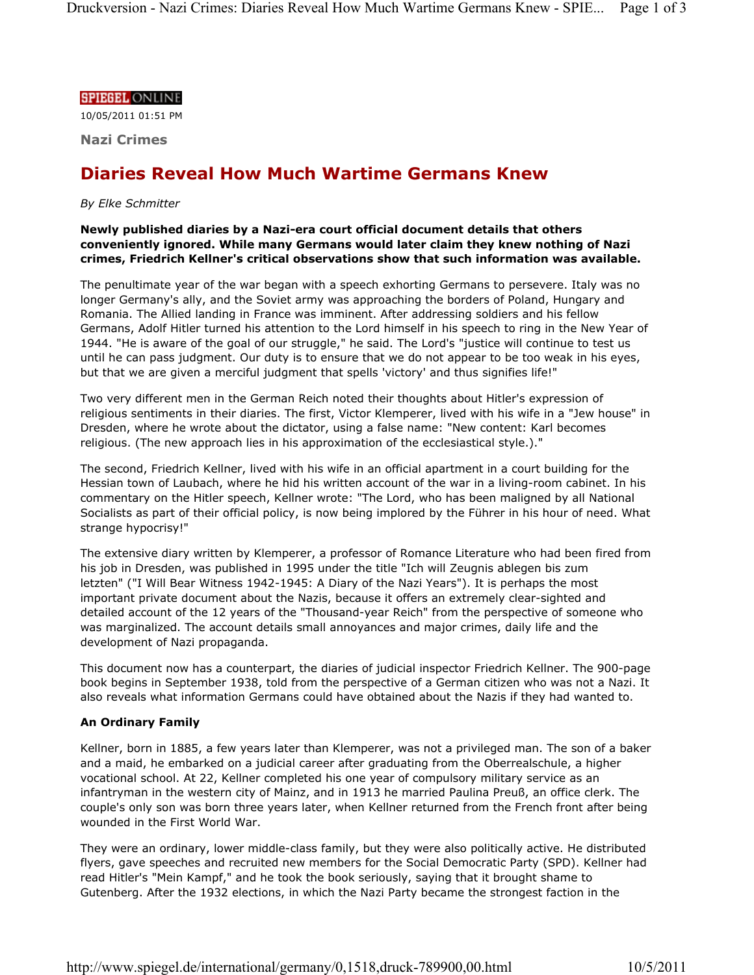#### **SPIEGEL ONLINE**

10/05/2011 01:51 PM

**Nazi Crimes**

# **Diaries Reveal How Much Wartime Germans Knew**

## *By Elke Schmitter*

## **Newly published diaries by a Nazi-era court official document details that others conveniently ignored. While many Germans would later claim they knew nothing of Nazi crimes, Friedrich Kellner's critical observations show that such information was available.**

The penultimate year of the war began with a speech exhorting Germans to persevere. Italy was no longer Germany's ally, and the Soviet army was approaching the borders of Poland, Hungary and Romania. The Allied landing in France was imminent. After addressing soldiers and his fellow Germans, Adolf Hitler turned his attention to the Lord himself in his speech to ring in the New Year of 1944. "He is aware of the goal of our struggle," he said. The Lord's "justice will continue to test us until he can pass judgment. Our duty is to ensure that we do not appear to be too weak in his eyes, but that we are given a merciful judgment that spells 'victory' and thus signifies life!"

Two very different men in the German Reich noted their thoughts about Hitler's expression of religious sentiments in their diaries. The first, Victor Klemperer, lived with his wife in a "Jew house" in Dresden, where he wrote about the dictator, using a false name: "New content: Karl becomes religious. (The new approach lies in his approximation of the ecclesiastical style.)."

The second, Friedrich Kellner, lived with his wife in an official apartment in a court building for the Hessian town of Laubach, where he hid his written account of the war in a living-room cabinet. In his commentary on the Hitler speech, Kellner wrote: "The Lord, who has been maligned by all National Socialists as part of their official policy, is now being implored by the Führer in his hour of need. What strange hypocrisy!"

The extensive diary written by Klemperer, a professor of Romance Literature who had been fired from his job in Dresden, was published in 1995 under the title "Ich will Zeugnis ablegen bis zum letzten" ("I Will Bear Witness 1942-1945: A Diary of the Nazi Years"). It is perhaps the most important private document about the Nazis, because it offers an extremely clear-sighted and detailed account of the 12 years of the "Thousand-year Reich" from the perspective of someone who was marginalized. The account details small annoyances and major crimes, daily life and the development of Nazi propaganda.

This document now has a counterpart, the diaries of judicial inspector Friedrich Kellner. The 900-page book begins in September 1938, told from the perspective of a German citizen who was not a Nazi. It also reveals what information Germans could have obtained about the Nazis if they had wanted to.

# **An Ordinary Family**

Kellner, born in 1885, a few years later than Klemperer, was not a privileged man. The son of a baker and a maid, he embarked on a judicial career after graduating from the Oberrealschule, a higher vocational school. At 22, Kellner completed his one year of compulsory military service as an infantryman in the western city of Mainz, and in 1913 he married Paulina Preuß, an office clerk. The couple's only son was born three years later, when Kellner returned from the French front after being wounded in the First World War.

They were an ordinary, lower middle-class family, but they were also politically active. He distributed flyers, gave speeches and recruited new members for the Social Democratic Party (SPD). Kellner had read Hitler's "Mein Kampf," and he took the book seriously, saying that it brought shame to Gutenberg. After the 1932 elections, in which the Nazi Party became the strongest faction in the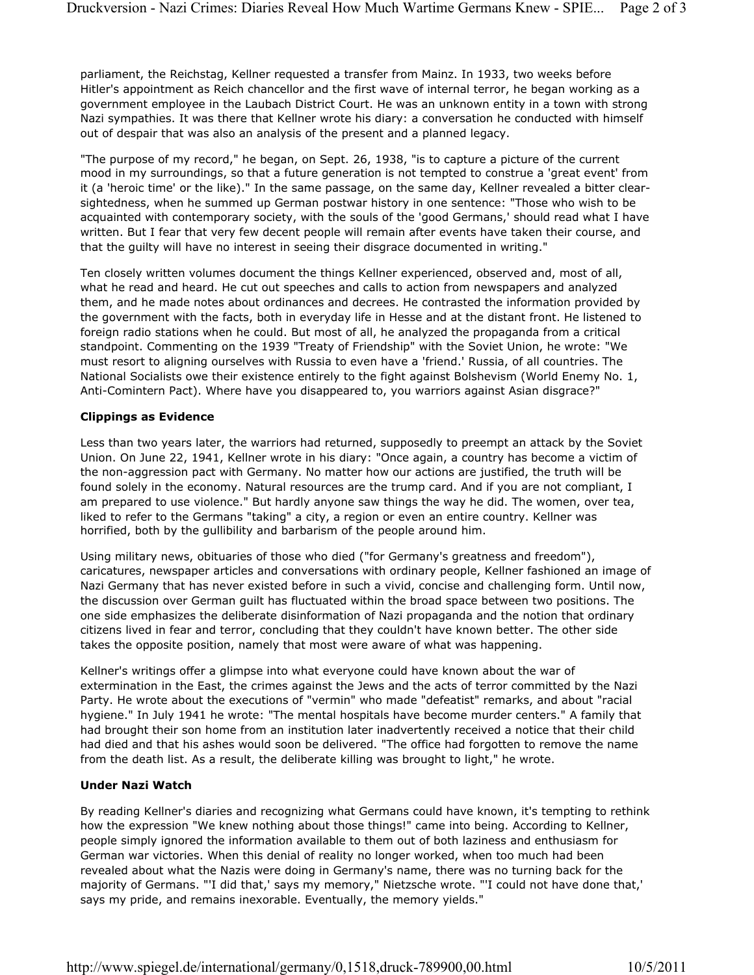parliament, the Reichstag, Kellner requested a transfer from Mainz. In 1933, two weeks before Hitler's appointment as Reich chancellor and the first wave of internal terror, he began working as a government employee in the Laubach District Court. He was an unknown entity in a town with strong Nazi sympathies. It was there that Kellner wrote his diary: a conversation he conducted with himself out of despair that was also an analysis of the present and a planned legacy.

"The purpose of my record," he began, on Sept. 26, 1938, "is to capture a picture of the current mood in my surroundings, so that a future generation is not tempted to construe a 'great event' from it (a 'heroic time' or the like)." In the same passage, on the same day, Kellner revealed a bitter clearsightedness, when he summed up German postwar history in one sentence: "Those who wish to be acquainted with contemporary society, with the souls of the 'good Germans,' should read what I have written. But I fear that very few decent people will remain after events have taken their course, and that the guilty will have no interest in seeing their disgrace documented in writing."

Ten closely written volumes document the things Kellner experienced, observed and, most of all, what he read and heard. He cut out speeches and calls to action from newspapers and analyzed them, and he made notes about ordinances and decrees. He contrasted the information provided by the government with the facts, both in everyday life in Hesse and at the distant front. He listened to foreign radio stations when he could. But most of all, he analyzed the propaganda from a critical standpoint. Commenting on the 1939 "Treaty of Friendship" with the Soviet Union, he wrote: "We must resort to aligning ourselves with Russia to even have a 'friend.' Russia, of all countries. The National Socialists owe their existence entirely to the fight against Bolshevism (World Enemy No. 1, Anti-Comintern Pact). Where have you disappeared to, you warriors against Asian disgrace?"

## **Clippings as Evidence**

Less than two years later, the warriors had returned, supposedly to preempt an attack by the Soviet Union. On June 22, 1941, Kellner wrote in his diary: "Once again, a country has become a victim of the non-aggression pact with Germany. No matter how our actions are justified, the truth will be found solely in the economy. Natural resources are the trump card. And if you are not compliant, I am prepared to use violence." But hardly anyone saw things the way he did. The women, over tea, liked to refer to the Germans "taking" a city, a region or even an entire country. Kellner was horrified, both by the gullibility and barbarism of the people around him.

Using military news, obituaries of those who died ("for Germany's greatness and freedom"), caricatures, newspaper articles and conversations with ordinary people, Kellner fashioned an image of Nazi Germany that has never existed before in such a vivid, concise and challenging form. Until now, the discussion over German guilt has fluctuated within the broad space between two positions. The one side emphasizes the deliberate disinformation of Nazi propaganda and the notion that ordinary citizens lived in fear and terror, concluding that they couldn't have known better. The other side takes the opposite position, namely that most were aware of what was happening.

Kellner's writings offer a glimpse into what everyone could have known about the war of extermination in the East, the crimes against the Jews and the acts of terror committed by the Nazi Party. He wrote about the executions of "vermin" who made "defeatist" remarks, and about "racial hygiene." In July 1941 he wrote: "The mental hospitals have become murder centers." A family that had brought their son home from an institution later inadvertently received a notice that their child had died and that his ashes would soon be delivered. "The office had forgotten to remove the name from the death list. As a result, the deliberate killing was brought to light," he wrote.

# **Under Nazi Watch**

By reading Kellner's diaries and recognizing what Germans could have known, it's tempting to rethink how the expression "We knew nothing about those things!" came into being. According to Kellner, people simply ignored the information available to them out of both laziness and enthusiasm for German war victories. When this denial of reality no longer worked, when too much had been revealed about what the Nazis were doing in Germany's name, there was no turning back for the majority of Germans. "'I did that,' says my memory," Nietzsche wrote. "'I could not have done that,' says my pride, and remains inexorable. Eventually, the memory yields."